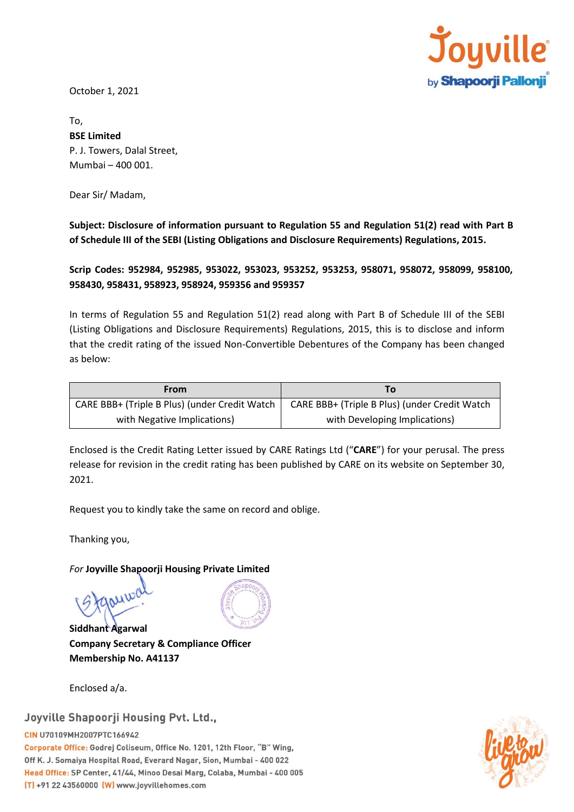

October 1, 2021

To, **BSE Limited** P. J. Towers, Dalal Street, Mumbai – 400 001.

Dear Sir/ Madam,

**Subject: Disclosure of information pursuant to Regulation 55 and Regulation 51(2) read with Part B of Schedule III of the SEBI (Listing Obligations and Disclosure Requirements) Regulations, 2015.**

**Scrip Codes: 952984, 952985, 953022, 953023, 953252, 953253, 958071, 958072, 958099, 958100, 958430, 958431, 958923, 958924, 959356 and 959357**

In terms of Regulation 55 and Regulation 51(2) read along with Part B of Schedule III of the SEBI (Listing Obligations and Disclosure Requirements) Regulations, 2015, this is to disclose and inform that the credit rating of the issued Non-Convertible Debentures of the Company has been changed as below:

| From                                          | Τо                                            |
|-----------------------------------------------|-----------------------------------------------|
| CARE BBB+ (Triple B Plus) (under Credit Watch | CARE BBB+ (Triple B Plus) (under Credit Watch |
| with Negative Implications)                   | with Developing Implications)                 |

Enclosed is the Credit Rating Letter issued by CARE Ratings Ltd ("**CARE**") for your perusal. The press release for revision in the credit rating has been published by CARE on its website on September 30, 2021.

Request you to kindly take the same on record and oblige.

Thanking you,

## *For* **Joyville Shapoorji Housing Private Limited**

**Siddhant Agarwal Company Secretary & Compliance Officer Membership No. A41137**

Enclosed a/a.

# Joyville Shapoorji Housing Pvt. Ltd.,

CIN U70109MH2007PTC166942 Corporate Office: Godrej Coliseum, Office No. 1201, 12th Floor, "B" Wing, Off K. J. Somaiya Hospital Road, Everard Nagar, Sion, Mumbai - 400 022 Head Office: SP Center, 41/44, Minoo Desai Marg, Colaba, Mumbai - 400 005 [T] +91 22 43560000 (W) www.joyvillehomes.com

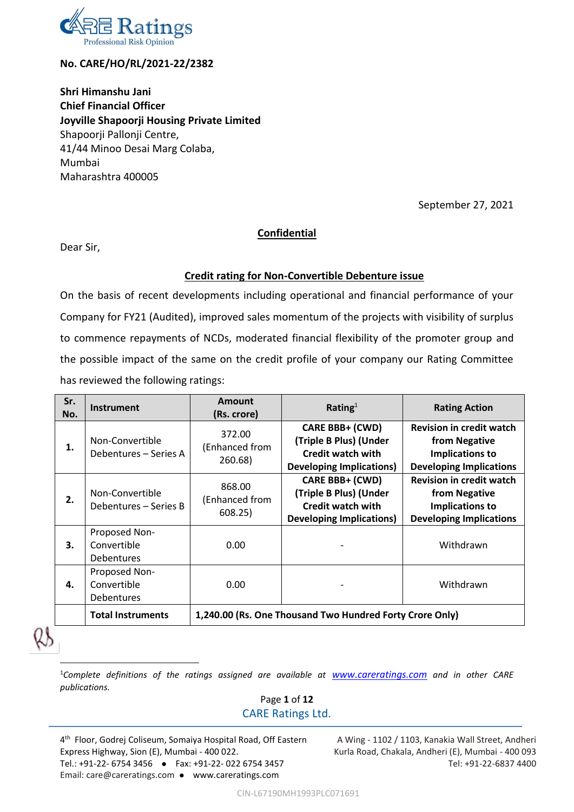

# **No. CARE/HO/RL/2021-22/2382**

**Shri Himanshu Jani Chief Financial Officer Joyville Shapoorji Housing Private Limited** Shapoorji Pallonji Centre, 41/44 Minoo Desai Marg Colaba, Mumbai Maharashtra 400005

September 27, 2021

# **Confidential**

Dear Sir,

# **Credit rating for Non-Convertible Debenture issue**

On the basis of recent developments including operational and financial performance of your Company for FY21 (Audited), improved sales momentum of the projects with visibility of surplus to commence repayments of NCDs, moderated financial flexibility of the promoter group and the possible impact of the same on the credit profile of your company our Rating Committee has reviewed the following ratings:

| Sr.<br>No. | <b>Instrument</b>                          | Amount<br>(Rs. crore)                                    | Rating $1$                                                                                                      | <b>Rating Action</b>                                                                                  |  |
|------------|--------------------------------------------|----------------------------------------------------------|-----------------------------------------------------------------------------------------------------------------|-------------------------------------------------------------------------------------------------------|--|
| 1.         | Non-Convertible<br>Debentures - Series A   | 372.00<br>(Enhanced from<br>260.68)                      | <b>CARE BBB+ (CWD)</b><br>(Triple B Plus) (Under<br><b>Credit watch with</b><br><b>Developing Implications)</b> | <b>Revision in credit watch</b><br>from Negative<br>Implications to<br><b>Developing Implications</b> |  |
| 2.         | Non-Convertible<br>Debentures - Series B   | 868.00<br>(Enhanced from<br>608.25)                      | <b>CARE BBB+ (CWD)</b><br>(Triple B Plus) (Under<br><b>Credit watch with</b><br><b>Developing Implications)</b> | <b>Revision in credit watch</b><br>from Negative<br>Implications to<br><b>Developing Implications</b> |  |
| 3.         | Proposed Non-<br>Convertible<br>Debentures | 0.00                                                     |                                                                                                                 | Withdrawn                                                                                             |  |
| 4.         | Proposed Non-<br>Convertible<br>Debentures | 0.00                                                     |                                                                                                                 | Withdrawn                                                                                             |  |
|            | <b>Total Instruments</b>                   | 1,240.00 (Rs. One Thousand Two Hundred Forty Crore Only) |                                                                                                                 |                                                                                                       |  |

 $\overline{a}$ 

<sup>1</sup>*Complete definitions of the ratings assigned are available at [www.careratings.com](http://www.careratings.com/) and in other CARE publications.*

# Page **1** of **12** CARE Ratings Ltd.

4 th Floor, Godrej Coliseum, Somaiya Hospital Road, Off Eastern Express Highway, Sion (E), Mumbai - 400 022. Tel.: +91-22- 6754 3456 ⚫ Fax: +91-22- 022 6754 3457 Email: care@careratings.com ⚫ www.careratings.com

A Wing - 1102 / 1103, Kanakia Wall Street, Andheri Kurla Road, Chakala, Andheri (E), Mumbai - 400 093 Tel: +91-22-6837 4400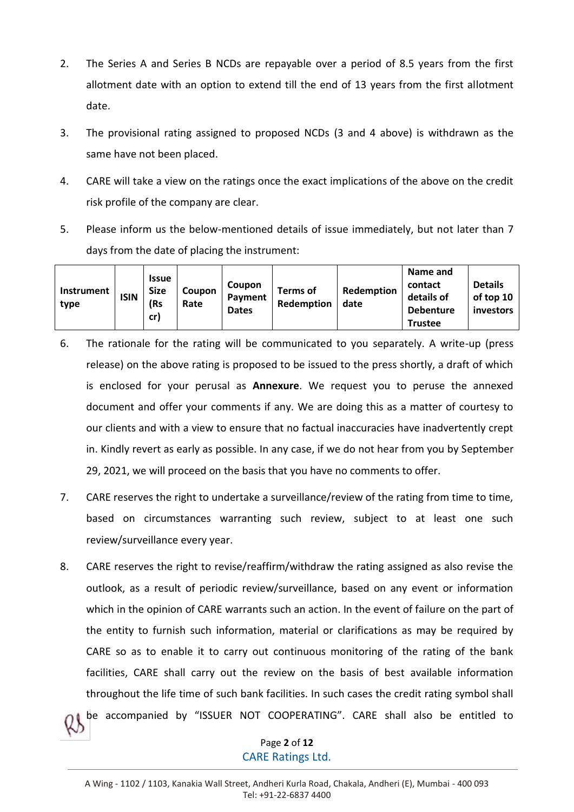- 2. The Series A and Series B NCDs are repayable over a period of 8.5 years from the first allotment date with an option to extend till the end of 13 years from the first allotment date.
- 3. The provisional rating assigned to proposed NCDs (3 and 4 above) is withdrawn as the same have not been placed.
- 4. CARE will take a view on the ratings once the exact implications of the above on the credit risk profile of the company are clear.
- 5. Please inform us the below-mentioned details of issue immediately, but not later than 7 days from the date of placing the instrument:

| <b>Instrument</b><br>type | <b>ISIN</b> | <b>Issue</b><br><b>Size</b><br>(Rs | Coupon<br>Rate | Coupon<br>Payment<br><b>Dates</b> | Terms of<br>Redemption | Redemption<br>date | Name and<br>contact<br>details of<br><b>Debenture</b> | <b>Details</b><br>of top 10<br>investors |
|---------------------------|-------------|------------------------------------|----------------|-----------------------------------|------------------------|--------------------|-------------------------------------------------------|------------------------------------------|
|                           |             | cr)                                |                |                                   |                        |                    | <b>Trustee</b>                                        |                                          |

- 6. The rationale for the rating will be communicated to you separately. A write-up (press release) on the above rating is proposed to be issued to the press shortly, a draft of which is enclosed for your perusal as **Annexure**. We request you to peruse the annexed document and offer your comments if any. We are doing this as a matter of courtesy to our clients and with a view to ensure that no factual inaccuracies have inadvertently crept in. Kindly revert as early as possible. In any case, if we do not hear from you by September 29, 2021, we will proceed on the basis that you have no comments to offer.
- 7. CARE reserves the right to undertake a surveillance/review of the rating from time to time, based on circumstances warranting such review, subject to at least one such review/surveillance every year.
- 8. CARE reserves the right to revise/reaffirm/withdraw the rating assigned as also revise the outlook, as a result of periodic review/surveillance, based on any event or information which in the opinion of CARE warrants such an action. In the event of failure on the part of the entity to furnish such information, material or clarifications as may be required by CARE so as to enable it to carry out continuous monitoring of the rating of the bank facilities, CARE shall carry out the review on the basis of best available information throughout the life time of such bank facilities. In such cases the credit rating symbol shall be accompanied by "ISSUER NOT COOPERATING". CARE shall also be entitled to

Page **2** of **12** CARE Ratings Ltd.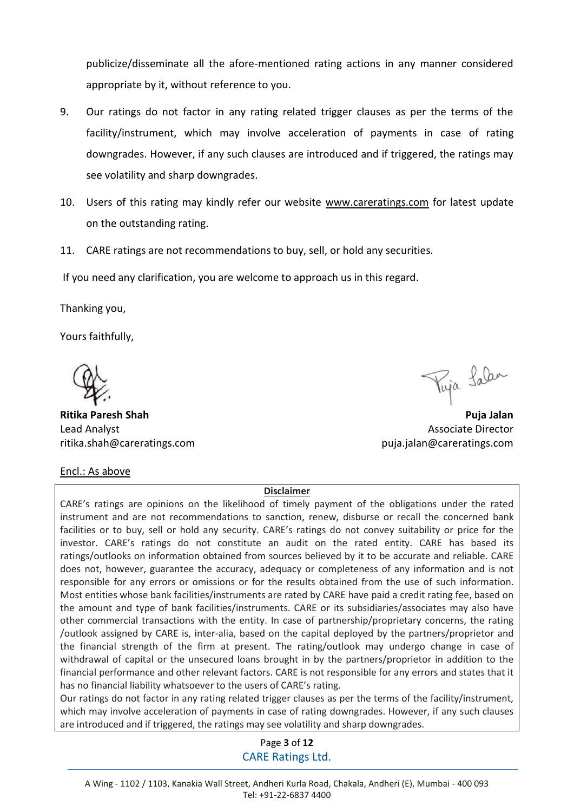publicize/disseminate all the afore-mentioned rating actions in any manner considered appropriate by it, without reference to you.

- 9. Our ratings do not factor in any rating related trigger clauses as per the terms of the facility/instrument, which may involve acceleration of payments in case of rating downgrades. However, if any such clauses are introduced and if triggered, the ratings may see volatility and sharp downgrades.
- 10. Users of this rating may kindly refer our website www.careratings.com for latest update on the outstanding rating.
- 11. CARE ratings are not recommendations to buy, sell, or hold any securities.

If you need any clarification, you are welcome to approach us in this regard.

Thanking you,

Yours faithfully,

**Ritika Paresh Shah Puja Jalan**  Lead Analyst Associate Director Associate Director ritika.shah@careratings.com puja.jalan@careratings.com

Puja Lalan

Encl.: As above

### **Disclaimer**

CARE's ratings are opinions on the likelihood of timely payment of the obligations under the rated instrument and are not recommendations to sanction, renew, disburse or recall the concerned bank facilities or to buy, sell or hold any security. CARE's ratings do not convey suitability or price for the investor. CARE's ratings do not constitute an audit on the rated entity. CARE has based its ratings/outlooks on information obtained from sources believed by it to be accurate and reliable. CARE does not, however, guarantee the accuracy, adequacy or completeness of any information and is not responsible for any errors or omissions or for the results obtained from the use of such information. Most entities whose bank facilities/instruments are rated by CARE have paid a credit rating fee, based on the amount and type of bank facilities/instruments. CARE or its subsidiaries/associates may also have other commercial transactions with the entity. In case of partnership/proprietary concerns, the rating /outlook assigned by CARE is, inter-alia, based on the capital deployed by the partners/proprietor and the financial strength of the firm at present. The rating/outlook may undergo change in case of withdrawal of capital or the unsecured loans brought in by the partners/proprietor in addition to the financial performance and other relevant factors. CARE is not responsible for any errors and states that it has no financial liability whatsoever to the users of CARE's rating.

Our ratings do not factor in any rating related trigger clauses as per the terms of the facility/instrument, which may involve acceleration of payments in case of rating downgrades. However, if any such clauses are introduced and if triggered, the ratings may see volatility and sharp downgrades.

# Page **3** of **12** CARE Ratings Ltd.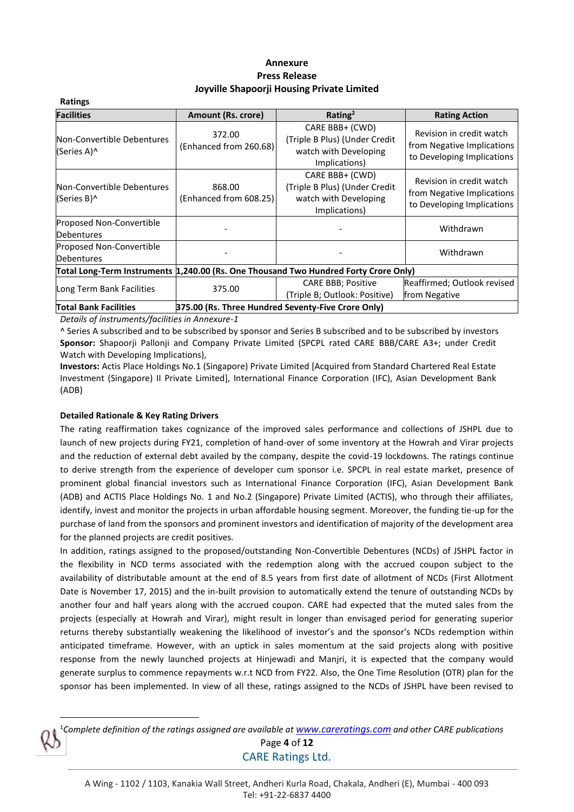### **Annexure Press Release Joyville Shapoorji Housing Private Limited**

| Ratings                                                                              |                                  |                                                                                            |                                                                                      |  |  |
|--------------------------------------------------------------------------------------|----------------------------------|--------------------------------------------------------------------------------------------|--------------------------------------------------------------------------------------|--|--|
| <b>Facilities</b>                                                                    | <b>Amount (Rs. crore)</b>        | Rating <sup>2</sup>                                                                        | <b>Rating Action</b>                                                                 |  |  |
| Non-Convertible Debentures<br>(Series A)^                                            | 372.00<br>(Enhanced from 260.68) | CARE BBB+ (CWD)<br>(Triple B Plus) (Under Credit<br>watch with Developing<br>Implications) | Revision in credit watch<br>from Negative Implications<br>to Developing Implications |  |  |
| Non-Convertible Debentures<br>(Series B)^                                            | 868.00<br>(Enhanced from 608.25) | CARE BBB+ (CWD)<br>(Triple B Plus) (Under Credit<br>watch with Developing<br>Implications) | Revision in credit watch<br>from Negative Implications<br>to Developing Implications |  |  |
| Proposed Non-Convertible<br><b>Debentures</b>                                        |                                  |                                                                                            | Withdrawn                                                                            |  |  |
| Proposed Non-Convertible<br><b>Debentures</b>                                        |                                  |                                                                                            |                                                                                      |  |  |
| Total Long-Term Instruments 1,240.00 (Rs. One Thousand Two Hundred Forty Crore Only) |                                  |                                                                                            |                                                                                      |  |  |
| Long Term Bank Facilities                                                            | 375.00                           | <b>CARE BBB; Positive</b><br>(Triple B; Outlook: Positive)                                 | Reaffirmed; Outlook revised<br>from Negative                                         |  |  |
| <b>Total Bank Facilities</b><br>375.00 (Rs. Three Hundred Seventy-Five Crore Only)   |                                  |                                                                                            |                                                                                      |  |  |

*Details of instruments/facilities in Annexure-1*

^ Series A subscribed and to be subscribed by sponsor and Series B subscribed and to be subscribed by investors **Sponsor:** Shapoorji Pallonji and Company Private Limited (SPCPL rated CARE BBB/CARE A3+; under Credit Watch with Developing Implications),

**Investors:** Actis Place Holdings No.1 (Singapore) Private Limited [Acquired from Standard Chartered Real Estate Investment (Singapore) II Private Limited], International Finance Corporation (IFC), Asian Development Bank (ADB)

### **Detailed Rationale & Key Rating Drivers**

 $\overline{\phantom{a}}$ 

The rating reaffirmation takes cognizance of the improved sales performance and collections of JSHPL due to launch of new projects during FY21, completion of hand-over of some inventory at the Howrah and Virar projects and the reduction of external debt availed by the company, despite the covid-19 lockdowns. The ratings continue to derive strength from the experience of developer cum sponsor i.e. SPCPL in real estate market, presence of prominent global financial investors such as International Finance Corporation (IFC), Asian Development Bank (ADB) and ACTIS Place Holdings No. 1 and No.2 (Singapore) Private Limited (ACTIS), who through their affiliates, identify, invest and monitor the projects in urban affordable housing segment. Moreover, the funding tie-up for the purchase of land from the sponsors and prominent investors and identification of majority of the development area for the planned projects are credit positives.

In addition, ratings assigned to the proposed/outstanding Non-Convertible Debentures (NCDs) of JSHPL factor in the flexibility in NCD terms associated with the redemption along with the accrued coupon subject to the availability of distributable amount at the end of 8.5 years from first date of allotment of NCDs (First Allotment Date is November 17, 2015) and the in-built provision to automatically extend the tenure of outstanding NCDs by another four and half years along with the accrued coupon. CARE had expected that the muted sales from the projects (especially at Howrah and Virar), might result in longer than envisaged period for generating superior returns thereby substantially weakening the likelihood of investor's and the sponsor's NCDs redemption within anticipated timeframe. However, with an uptick in sales momentum at the said projects along with positive response from the newly launched projects at Hinjewadi and Manjri, it is expected that the company would generate surplus to commence repayments w.r.t NCD from FY22. Also, the One Time Resolution (OTR) plan for the sponsor has been implemented. In view of all these, ratings assigned to the NCDs of JSHPL have been revised to

Page **4** of **12** CARE Ratings Ltd. <sup>1</sup>*Complete definition of the ratings assigned are available at [www.careratings.com](http://www.careratings.com/) and other CARE publications*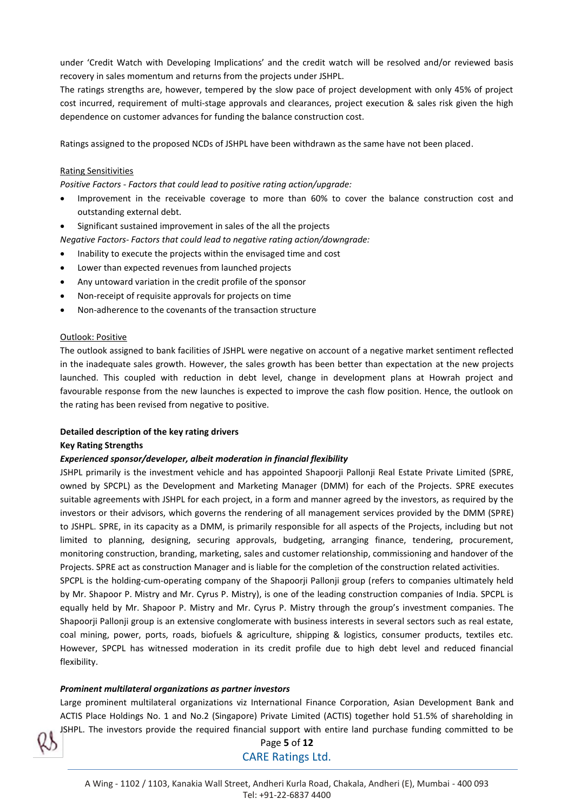under 'Credit Watch with Developing Implications' and the credit watch will be resolved and/or reviewed basis recovery in sales momentum and returns from the projects under JSHPL.

The ratings strengths are, however, tempered by the slow pace of project development with only 45% of project cost incurred, requirement of multi-stage approvals and clearances, project execution & sales risk given the high dependence on customer advances for funding the balance construction cost.

Ratings assigned to the proposed NCDs of JSHPL have been withdrawn as the same have not been placed.

### Rating Sensitivities

*Positive Factors - Factors that could lead to positive rating action/upgrade:*

- Improvement in the receivable coverage to more than 60% to cover the balance construction cost and outstanding external debt.
- Significant sustained improvement in sales of the all the projects

*Negative Factors- Factors that could lead to negative rating action/downgrade:*

- Inability to execute the projects within the envisaged time and cost
- Lower than expected revenues from launched projects
- Any untoward variation in the credit profile of the sponsor
- Non-receipt of requisite approvals for projects on time
- Non-adherence to the covenants of the transaction structure

### Outlook: Positive

The outlook assigned to bank facilities of JSHPL were negative on account of a negative market sentiment reflected in the inadequate sales growth. However, the sales growth has been better than expectation at the new projects launched. This coupled with reduction in debt level, change in development plans at Howrah project and favourable response from the new launches is expected to improve the cash flow position. Hence, the outlook on the rating has been revised from negative to positive.

### **Detailed description of the key rating drivers**

### **Key Rating Strengths**

### *Experienced sponsor/developer, albeit moderation in financial flexibility*

JSHPL primarily is the investment vehicle and has appointed Shapoorji Pallonji Real Estate Private Limited (SPRE, owned by SPCPL) as the Development and Marketing Manager (DMM) for each of the Projects. SPRE executes suitable agreements with JSHPL for each project, in a form and manner agreed by the investors, as required by the investors or their advisors, which governs the rendering of all management services provided by the DMM (SPRE) to JSHPL. SPRE, in its capacity as a DMM, is primarily responsible for all aspects of the Projects, including but not limited to planning, designing, securing approvals, budgeting, arranging finance, tendering, procurement, monitoring construction, branding, marketing, sales and customer relationship, commissioning and handover of the Projects. SPRE act as construction Manager and is liable for the completion of the construction related activities.

SPCPL is the holding-cum-operating company of the Shapoorji Pallonji group (refers to companies ultimately held by Mr. Shapoor P. Mistry and Mr. Cyrus P. Mistry), is one of the leading construction companies of India. SPCPL is equally held by Mr. Shapoor P. Mistry and Mr. Cyrus P. Mistry through the group's investment companies. The Shapoorji Pallonji group is an extensive conglomerate with business interests in several sectors such as real estate, coal mining, power, ports, roads, biofuels & agriculture, shipping & logistics, consumer products, textiles etc. However, SPCPL has witnessed moderation in its credit profile due to high debt level and reduced financial flexibility.

### *Prominent multilateral organizations as partner investors*

Large prominent multilateral organizations viz International Finance Corporation, Asian Development Bank and ACTIS Place Holdings No. 1 and No.2 (Singapore) Private Limited (ACTIS) together hold 51.5% of shareholding in JSHPL. The investors provide the required financial support with entire land purchase funding committed to be



# Page **5** of **12** CARE Ratings Ltd.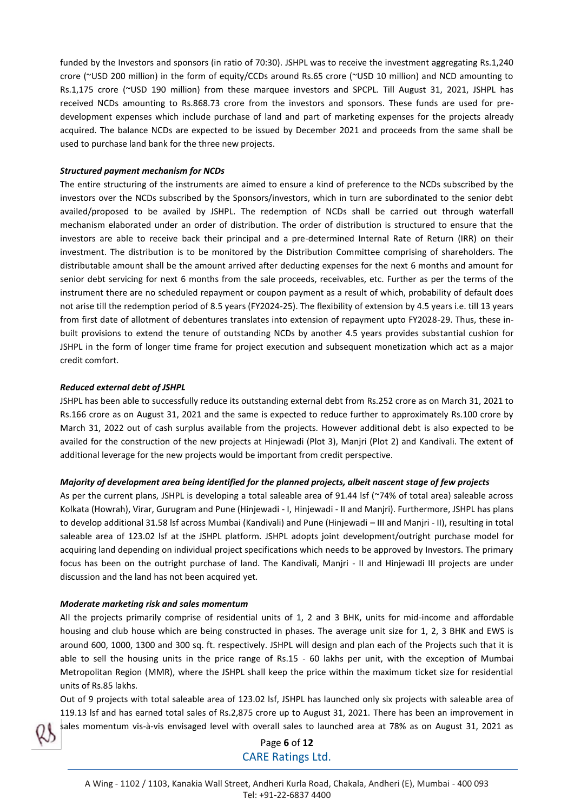funded by the Investors and sponsors (in ratio of 70:30). JSHPL was to receive the investment aggregating Rs.1,240 crore (~USD 200 million) in the form of equity/CCDs around Rs.65 crore (~USD 10 million) and NCD amounting to Rs.1,175 crore (~USD 190 million) from these marquee investors and SPCPL. Till August 31, 2021, JSHPL has received NCDs amounting to Rs.868.73 crore from the investors and sponsors. These funds are used for predevelopment expenses which include purchase of land and part of marketing expenses for the projects already acquired. The balance NCDs are expected to be issued by December 2021 and proceeds from the same shall be used to purchase land bank for the three new projects.

### *Structured payment mechanism for NCDs*

The entire structuring of the instruments are aimed to ensure a kind of preference to the NCDs subscribed by the investors over the NCDs subscribed by the Sponsors/investors, which in turn are subordinated to the senior debt availed/proposed to be availed by JSHPL. The redemption of NCDs shall be carried out through waterfall mechanism elaborated under an order of distribution. The order of distribution is structured to ensure that the investors are able to receive back their principal and a pre-determined Internal Rate of Return (IRR) on their investment. The distribution is to be monitored by the Distribution Committee comprising of shareholders. The distributable amount shall be the amount arrived after deducting expenses for the next 6 months and amount for senior debt servicing for next 6 months from the sale proceeds, receivables, etc. Further as per the terms of the instrument there are no scheduled repayment or coupon payment as a result of which, probability of default does not arise till the redemption period of 8.5 years (FY2024-25). The flexibility of extension by 4.5 years i.e. till 13 years from first date of allotment of debentures translates into extension of repayment upto FY2028-29. Thus, these inbuilt provisions to extend the tenure of outstanding NCDs by another 4.5 years provides substantial cushion for JSHPL in the form of longer time frame for project execution and subsequent monetization which act as a major credit comfort.

### *Reduced external debt of JSHPL*

JSHPL has been able to successfully reduce its outstanding external debt from Rs.252 crore as on March 31, 2021 to Rs.166 crore as on August 31, 2021 and the same is expected to reduce further to approximately Rs.100 crore by March 31, 2022 out of cash surplus available from the projects. However additional debt is also expected to be availed for the construction of the new projects at Hinjewadi (Plot 3), Manjri (Plot 2) and Kandivali. The extent of additional leverage for the new projects would be important from credit perspective.

### *Majority of development area being identified for the planned projects, albeit nascent stage of few projects*

As per the current plans, JSHPL is developing a total saleable area of 91.44 lsf (~74% of total area) saleable across Kolkata (Howrah), Virar, Gurugram and Pune (Hinjewadi - I, Hinjewadi - II and Manjri). Furthermore, JSHPL has plans to develop additional 31.58 lsf across Mumbai (Kandivali) and Pune (Hinjewadi – III and Manjri - II), resulting in total saleable area of 123.02 lsf at the JSHPL platform. JSHPL adopts joint development/outright purchase model for acquiring land depending on individual project specifications which needs to be approved by Investors. The primary focus has been on the outright purchase of land. The Kandivali, Manjri - II and Hinjewadi III projects are under discussion and the land has not been acquired yet.

### *Moderate marketing risk and sales momentum*

All the projects primarily comprise of residential units of 1, 2 and 3 BHK, units for mid-income and affordable housing and club house which are being constructed in phases. The average unit size for 1, 2, 3 BHK and EWS is around 600, 1000, 1300 and 300 sq. ft. respectively. JSHPL will design and plan each of the Projects such that it is able to sell the housing units in the price range of Rs.15 - 60 lakhs per unit, with the exception of Mumbai Metropolitan Region (MMR), where the JSHPL shall keep the price within the maximum ticket size for residential units of Rs.85 lakhs.

Out of 9 projects with total saleable area of 123.02 lsf, JSHPL has launched only six projects with saleable area of 119.13 lsf and has earned total sales of Rs.2,875 crore up to August 31, 2021. There has been an improvement in sales momentum vis-à-vis envisaged level with overall sales to launched area at 78% as on August 31, 2021 as

# Page **6** of **12** CARE Ratings Ltd.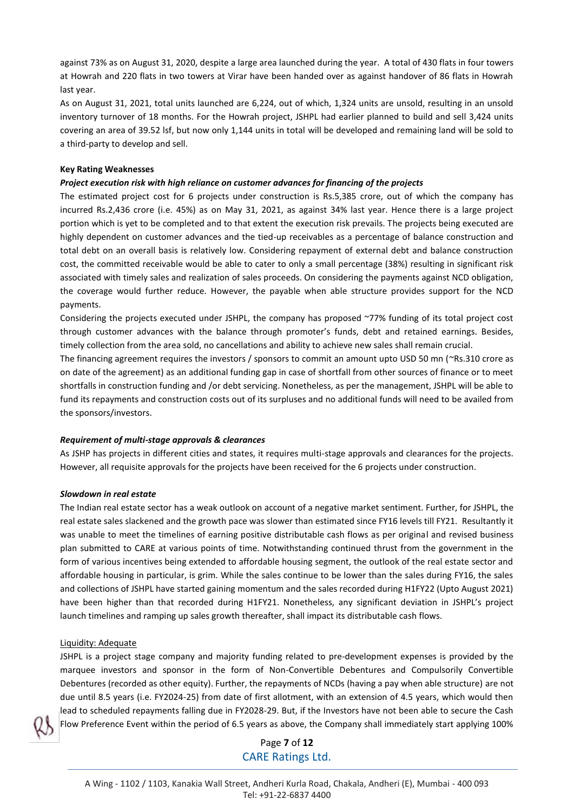against 73% as on August 31, 2020, despite a large area launched during the year. A total of 430 flats in four towers at Howrah and 220 flats in two towers at Virar have been handed over as against handover of 86 flats in Howrah last year.

As on August 31, 2021, total units launched are 6,224, out of which, 1,324 units are unsold, resulting in an unsold inventory turnover of 18 months. For the Howrah project, JSHPL had earlier planned to build and sell 3,424 units covering an area of 39.52 lsf, but now only 1,144 units in total will be developed and remaining land will be sold to a third-party to develop and sell.

### **Key Rating Weaknesses**

### *Project execution risk with high reliance on customer advances for financing of the projects*

The estimated project cost for 6 projects under construction is Rs.5,385 crore, out of which the company has incurred Rs.2,436 crore (i.e. 45%) as on May 31, 2021, as against 34% last year. Hence there is a large project portion which is yet to be completed and to that extent the execution risk prevails. The projects being executed are highly dependent on customer advances and the tied-up receivables as a percentage of balance construction and total debt on an overall basis is relatively low. Considering repayment of external debt and balance construction cost, the committed receivable would be able to cater to only a small percentage (38%) resulting in significant risk associated with timely sales and realization of sales proceeds. On considering the payments against NCD obligation, the coverage would further reduce. However, the payable when able structure provides support for the NCD payments.

Considering the projects executed under JSHPL, the company has proposed ~77% funding of its total project cost through customer advances with the balance through promoter's funds, debt and retained earnings. Besides, timely collection from the area sold, no cancellations and ability to achieve new sales shall remain crucial.

The financing agreement requires the investors / sponsors to commit an amount upto USD 50 mn (~Rs.310 crore as on date of the agreement) as an additional funding gap in case of shortfall from other sources of finance or to meet shortfalls in construction funding and /or debt servicing. Nonetheless, as per the management, JSHPL will be able to fund its repayments and construction costs out of its surpluses and no additional funds will need to be availed from the sponsors/investors.

### *Requirement of multi-stage approvals & clearances*

As JSHP has projects in different cities and states, it requires multi-stage approvals and clearances for the projects. However, all requisite approvals for the projects have been received for the 6 projects under construction.

### *Slowdown in real estate*

The Indian real estate sector has a weak outlook on account of a negative market sentiment. Further, for JSHPL, the real estate sales slackened and the growth pace was slower than estimated since FY16 levels till FY21. Resultantly it was unable to meet the timelines of earning positive distributable cash flows as per original and revised business plan submitted to CARE at various points of time. Notwithstanding continued thrust from the government in the form of various incentives being extended to affordable housing segment, the outlook of the real estate sector and affordable housing in particular, is grim. While the sales continue to be lower than the sales during FY16, the sales and collections of JSHPL have started gaining momentum and the sales recorded during H1FY22 (Upto August 2021) have been higher than that recorded during H1FY21. Nonetheless, any significant deviation in JSHPL's project launch timelines and ramping up sales growth thereafter, shall impact its distributable cash flows.

### Liquidity: Adequate

JSHPL is a project stage company and majority funding related to pre-development expenses is provided by the marquee investors and sponsor in the form of Non-Convertible Debentures and Compulsorily Convertible Debentures (recorded as other equity). Further, the repayments of NCDs (having a pay when able structure) are not due until 8.5 years (i.e. FY2024-25) from date of first allotment, with an extension of 4.5 years, which would then lead to scheduled repayments falling due in FY2028-29. But, if the Investors have not been able to secure the Cash Flow Preference Event within the period of 6.5 years as above, the Company shall immediately start applying 100%



Page **7** of **12** CARE Ratings Ltd.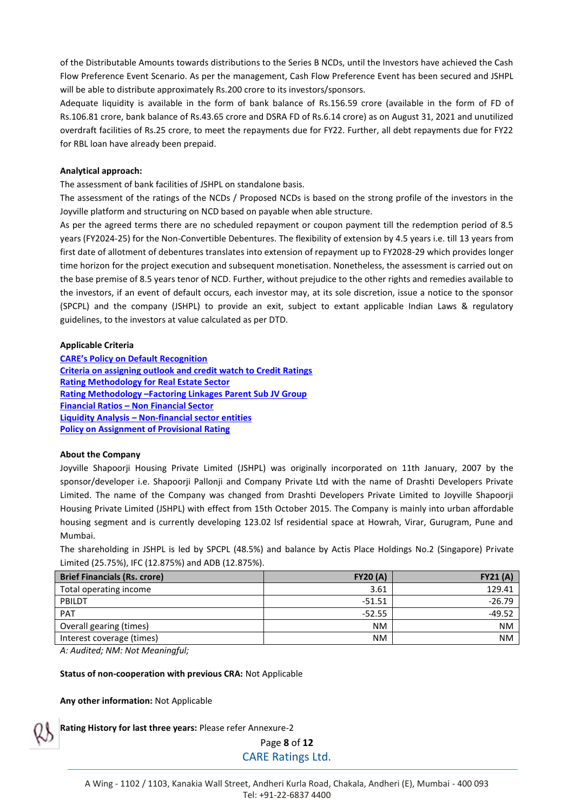of the Distributable Amounts towards distributions to the Series B NCDs, until the Investors have achieved the Cash Flow Preference Event Scenario. As per the management, Cash Flow Preference Event has been secured and JSHPL will be able to distribute approximately Rs.200 crore to its investors/sponsors.

Adequate liquidity is available in the form of bank balance of Rs.156.59 crore (available in the form of FD of Rs.106.81 crore, bank balance of Rs.43.65 crore and DSRA FD of Rs.6.14 crore) as on August 31, 2021 and unutilized overdraft facilities of Rs.25 crore, to meet the repayments due for FY22. Further, all debt repayments due for FY22 for RBL loan have already been prepaid.

### **Analytical approach:**

The assessment of bank facilities of JSHPL on standalone basis.

The assessment of the ratings of the NCDs / Proposed NCDs is based on the strong profile of the investors in the Joyville platform and structuring on NCD based on payable when able structure.

As per the agreed terms there are no scheduled repayment or coupon payment till the redemption period of 8.5 years (FY2024-25) for the Non-Convertible Debentures. The flexibility of extension by 4.5 years i.e. till 13 years from first date of allotment of debentures translates into extension of repayment up to FY2028-29 which provides longer time horizon for the project execution and subsequent monetisation. Nonetheless, the assessment is carried out on the base premise of 8.5 years tenor of NCD. Further, without prejudice to the other rights and remedies available to the investors, if an event of default occurs, each investor may, at its sole discretion, issue a notice to the sponsor (SPCPL) and the company (JSHPL) to provide an exit, subject to extant applicable Indian Laws & regulatory guidelines, to the investors at value calculated as per DTD.

### **Applicable Criteria**

**[CARE's Policy on Default Recognition](https://www.careratings.com/pdf/resources/CARE) [Criteria on assigning outlook and credit watch to Credit Ratings](https://www.careratings.com/pdf/resources/Rating%20Outlook%20and%20credit%20watch_May2020.pdf) [Rating Methodology for Real Estate Sector](https://www.careratings.com/upload/NewsFiles/GetRated/Rating%20Methodology%20-%20for%20Real%20Estate%20Sector_March2021.pdf) Rating Methodology –[Factoring Linkages Parent Sub JV Group](https://www.careratings.com/upload/NewsFiles/GetRated/Rating%20Methodology-Parent%20Sub%20JV%20Group_October2020.pdf) Financial Ratios – [Non Financial Sector](https://www.careratings.com/pdf/resources/Financial%20ratios%20-%20Non%20Financial%20Sector_March2021.pdf) Liquidity Analysis – [Non-financial sector entities](https://www.careratings.com/pdf/resources/Liquidity%20Analysis%20of%20Non%20-%20Financial%20Sector%20entities_May2020.pdf) [Policy on Assignment of Provisional Rating](https://www.careratings.com/pdf/resources/CARE)**

### **About the Company**

Joyville Shapoorji Housing Private Limited (JSHPL) was originally incorporated on 11th January, 2007 by the sponsor/developer i.e. Shapoorji Pallonji and Company Private Ltd with the name of Drashti Developers Private Limited. The name of the Company was changed from Drashti Developers Private Limited to Joyville Shapoorji Housing Private Limited (JSHPL) with effect from 15th October 2015. The Company is mainly into urban affordable housing segment and is currently developing 123.02 lsf residential space at Howrah, Virar, Gurugram, Pune and Mumbai.

The shareholding in JSHPL is led by SPCPL (48.5%) and balance by Actis Place Holdings No.2 (Singapore) Private Limited (25.75%), IFC (12.875%) and ADB (12.875%).

| <b>Brief Financials (Rs. crore)</b> | <b>FY20 (A)</b> | <b>FY21 (A)</b> |
|-------------------------------------|-----------------|-----------------|
| Total operating income              | 3.61            | 129.41          |
| PBILDT                              | $-51.51$        | $-26.79$        |
| PAT                                 | $-52.55$        | $-49.52$        |
| Overall gearing (times)             | <b>NM</b>       | <b>NM</b>       |
| Interest coverage (times)           | <b>NM</b>       | <b>NM</b>       |

*A: Audited; NM: Not Meaningful;* 

**Status of non-cooperation with previous CRA:** Not Applicable

**Any other information:** Not Applicable

**Rating History for last three years:** Please refer Annexure-2

Page **8** of **12** CARE Ratings Ltd.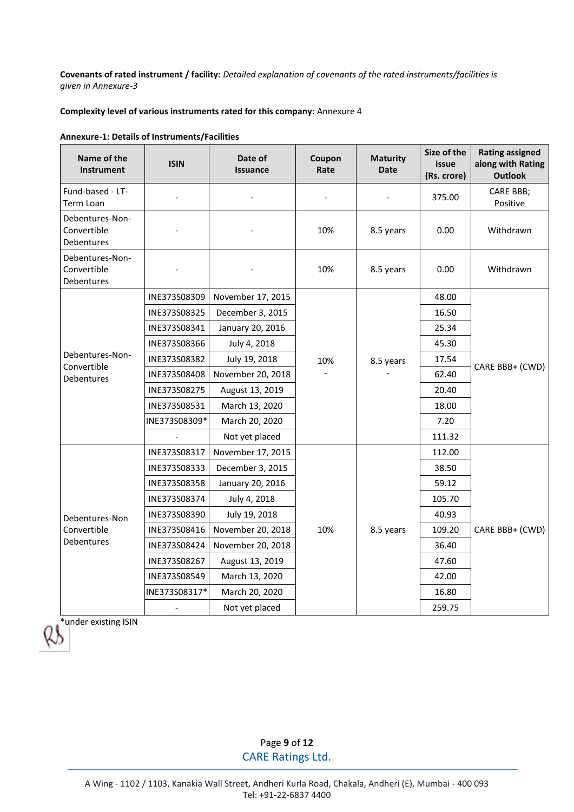**Covenants of rated instrument / facility:** *Detailed explanation of covenants of the rated instruments/facilities is given in Annexure-3*

### **Complexity level of various instruments rated for this company**: Annexure 4

| <b>Annexure-1: Details of Instruments/Facilities</b> |
|------------------------------------------------------|
|------------------------------------------------------|

| Name of the<br>Instrument                    | <b>ISIN</b>   | Date of<br><b>Issuance</b> | Coupon<br>Rate | <b>Maturity</b><br><b>Date</b> | Size of the<br><b>Issue</b><br>(Rs. crore) | <b>Rating assigned</b><br>along with Rating<br><b>Outlook</b> |
|----------------------------------------------|---------------|----------------------------|----------------|--------------------------------|--------------------------------------------|---------------------------------------------------------------|
| Fund-based - LT-<br>Term Loan                |               |                            |                |                                | 375.00                                     | <b>CARE BBB;</b><br>Positive                                  |
| Debentures-Non-<br>Convertible<br>Debentures |               |                            | 10%            | 8.5 years                      | 0.00                                       | Withdrawn                                                     |
| Debentures-Non-<br>Convertible<br>Debentures |               |                            | 10%            | 8.5 years                      | 0.00                                       | Withdrawn                                                     |
|                                              | INE373S08309  | November 17, 2015          |                |                                | 48.00                                      |                                                               |
|                                              | INE373S08325  | December 3, 2015           |                |                                | 16.50                                      |                                                               |
|                                              | INE373S08341  | January 20, 2016           |                |                                | 25.34                                      | CARE BBB+ (CWD)                                               |
|                                              | INE373S08366  | July 4, 2018               | 10%            |                                | 45.30                                      |                                                               |
| Debentures-Non-<br>Convertible               | INE373S08382  | July 19, 2018              |                | 8.5 years                      | 17.54                                      |                                                               |
| Debentures                                   | INE373S08408  | November 20, 2018          |                |                                | 62.40                                      |                                                               |
|                                              | INE373S08275  | August 13, 2019            |                |                                | 20.40                                      |                                                               |
|                                              | INE373S08531  | March 13, 2020             |                |                                | 18.00                                      |                                                               |
|                                              | INE373S08309* | March 20, 2020             |                |                                | 7.20                                       |                                                               |
|                                              |               | Not yet placed             |                |                                | 111.32                                     |                                                               |
|                                              | INE373S08317  | November 17, 2015          |                |                                | 112.00                                     |                                                               |
|                                              | INE373S08333  | December 3, 2015           |                |                                | 38.50                                      |                                                               |
|                                              | INE373S08358  | January 20, 2016           |                |                                | 59.12                                      |                                                               |
|                                              | INE373S08374  | July 4, 2018               |                |                                | 105.70                                     |                                                               |
| Debentures-Non                               | INE373S08390  | July 19, 2018              |                |                                | 40.93                                      |                                                               |
| Convertible                                  | INE373S08416  | November 20, 2018          | 10%            | 8.5 years                      | 109.20                                     | CARE BBB+ (CWD)                                               |
| Debentures                                   | INE373S08424  | November 20, 2018          |                |                                | 36.40                                      |                                                               |
|                                              | INE373S08267  | August 13, 2019            |                |                                | 47.60                                      |                                                               |
|                                              | INE373S08549  | March 13, 2020             |                |                                | 42.00                                      |                                                               |
|                                              | INE373S08317* | March 20, 2020             |                |                                | 16.80                                      |                                                               |
|                                              |               | Not yet placed             |                |                                | 259.75                                     |                                                               |

\*under existing ISIN

Page **9** of **12** CARE Ratings Ltd.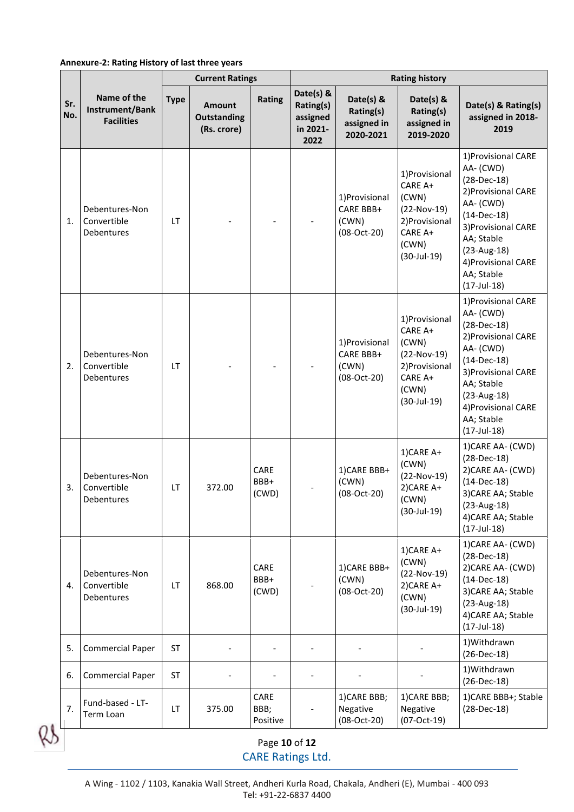### **Annexure-2: Rating History of last three years**

|            |                                                     | <b>Current Ratings</b> |                                                    |                          | <b>Rating history</b>                                  |                                                     |                                                                                                                |                                                                                                                                                                                                                      |
|------------|-----------------------------------------------------|------------------------|----------------------------------------------------|--------------------------|--------------------------------------------------------|-----------------------------------------------------|----------------------------------------------------------------------------------------------------------------|----------------------------------------------------------------------------------------------------------------------------------------------------------------------------------------------------------------------|
| Sr.<br>No. | Name of the<br>Instrument/Bank<br><b>Facilities</b> | <b>Type</b>            | <b>Amount</b><br><b>Outstanding</b><br>(Rs. crore) | Rating                   | Date(s) &<br>Rating(s)<br>assigned<br>in 2021-<br>2022 | Date(s) &<br>Rating(s)<br>assigned in<br>2020-2021  | Date(s) $8$<br>Rating(s)<br>assigned in<br>2019-2020                                                           | Date(s) & Rating(s)<br>assigned in 2018-<br>2019                                                                                                                                                                     |
| 1.         | Debentures-Non<br>Convertible<br><b>Debentures</b>  | LT.                    |                                                    |                          |                                                        | 1) Provisional<br>CARE BBB+<br>(CWN)<br>(08-Oct-20) | 1) Provisional<br>CARE A+<br>(CWN)<br>$(22-Nov-19)$<br>2) Provisional<br>CARE A+<br>(CWN)<br>$(30 - Jul - 19)$ | 1) Provisional CARE<br>AA-(CWD)<br>$(28-Dec-18)$<br>2) Provisional CARE<br>AA-(CWD)<br>$(14-Dec-18)$<br>3) Provisional CARE<br>AA; Stable<br>$(23-Aug-18)$<br>4) Provisional CARE<br>AA; Stable<br>$(17 - Jul - 18)$ |
| 2.         | Debentures-Non<br>Convertible<br>Debentures         | LT.                    |                                                    |                          |                                                        | 1) Provisional<br>CARE BBB+<br>(CWN)<br>(08-Oct-20) | 1) Provisional<br>CARE A+<br>(CWN)<br>$(22-Nov-19)$<br>2) Provisional<br>CARE A+<br>(CWN)<br>$(30-Jul-19)$     | 1) Provisional CARE<br>AA-(CWD)<br>$(28-Dec-18)$<br>2) Provisional CARE<br>AA-(CWD)<br>$(14-Dec-18)$<br>3) Provisional CARE<br>AA; Stable<br>$(23-Aug-18)$<br>4) Provisional CARE<br>AA; Stable<br>$(17 - Jul - 18)$ |
| 3.         | Debentures-Non<br>Convertible<br>Debentures         | LT                     | 372.00                                             | CARE<br>BBB+<br>(CWD)    |                                                        | 1)CARE BBB+<br>(CWN)<br>$(08-Oct-20)$               | 1)CARE A+<br>(CWN)<br>$(22-Nov-19)$<br>2)CARE A+<br>(CWN)<br>$(30 - Jul - 19)$                                 | 1) CARE AA- (CWD)<br>$(28-Dec-18)$<br>2) CARE AA- (CWD)<br>$(14-Dec-18)$<br>3) CARE AA; Stable<br>$(23-Aug-18)$<br>4) CARE AA; Stable<br>$(17 - Jul - 18)$                                                           |
| 4.         | Debentures-Non<br>Convertible<br>Debentures         | LT                     | 868.00                                             | CARE<br>BBB+<br>(CWD)    |                                                        | 1) CARE BBB+<br>(CWN)<br>$(08-Oct-20)$              | 1)CARE A+<br>(CWN)<br>$(22-Nov-19)$<br>2) CARE A+<br>(CWN)<br>$(30 - Jul - 19)$                                | 1) CARE AA- (CWD)<br>$(28-Dec-18)$<br>2) CARE AA- (CWD)<br>$(14-Dec-18)$<br>3) CARE AA; Stable<br>$(23-Aug-18)$<br>4) CARE AA; Stable<br>$(17 - Jul - 18)$                                                           |
| 5.         | <b>Commercial Paper</b>                             | <b>ST</b>              |                                                    |                          |                                                        |                                                     |                                                                                                                | 1) Withdrawn<br>$(26-Dec-18)$                                                                                                                                                                                        |
| 6.         | <b>Commercial Paper</b>                             | <b>ST</b>              |                                                    |                          |                                                        |                                                     |                                                                                                                | 1) Withdrawn<br>$(26-Dec-18)$                                                                                                                                                                                        |
| 7.         | Fund-based - LT-<br>Term Loan                       | LT.                    | 375.00                                             | CARE<br>BBB;<br>Positive |                                                        | 1) CARE BBB;<br>Negative<br>$(08-Oct-20)$           | 1) CARE BBB;<br>Negative<br>$(07-Cct-19)$                                                                      | 1) CARE BBB+; Stable<br>$(28-Dec-18)$                                                                                                                                                                                |

Page **10** of **12** CARE Ratings Ltd.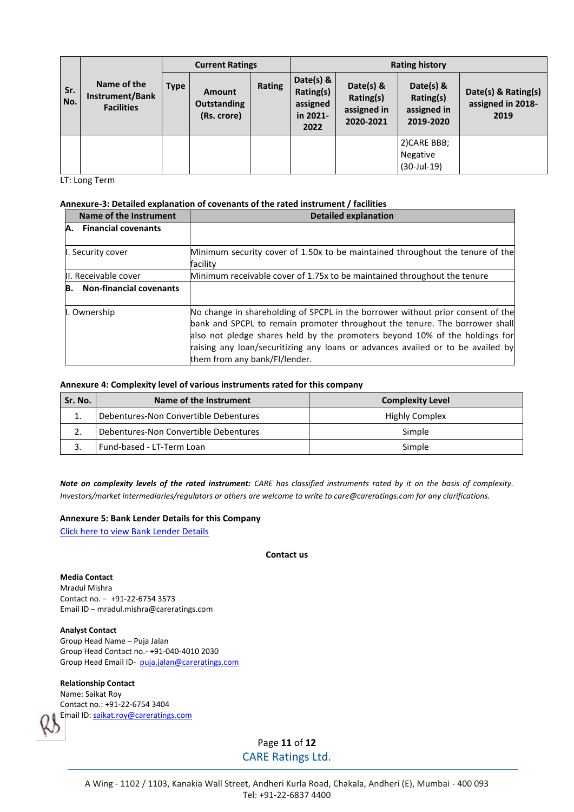|            | <b>Current Ratings</b>                              |      |                                             |        | <b>Rating history</b>                                  |                                                    |                                                    |                                                  |
|------------|-----------------------------------------------------|------|---------------------------------------------|--------|--------------------------------------------------------|----------------------------------------------------|----------------------------------------------------|--------------------------------------------------|
| Sr.<br>No. | Name of the<br>Instrument/Bank<br><b>Facilities</b> | Type | Amount<br><b>Outstanding</b><br>(Rs. crore) | Rating | Date(s) &<br>Rating(s)<br>assigned<br>in 2021-<br>2022 | Date(s) &<br>Rating(s)<br>assigned in<br>2020-2021 | Date(s) &<br>Rating(s)<br>assigned in<br>2019-2020 | Date(s) & Rating(s)<br>assigned in 2018-<br>2019 |
|            |                                                     |      |                                             |        |                                                        |                                                    | 2) CARE BBB;<br>Negative<br>$(30-Jul-19)$          |                                                  |

LT: Long Term

### **Annexure-3: Detailed explanation of covenants of the rated instrument / facilities**

| Name of the Instrument               | <b>Detailed explanation</b>                                                                                                                                                                                                                                                                                                                                       |
|--------------------------------------|-------------------------------------------------------------------------------------------------------------------------------------------------------------------------------------------------------------------------------------------------------------------------------------------------------------------------------------------------------------------|
| <b>Financial covenants</b><br>A.     |                                                                                                                                                                                                                                                                                                                                                                   |
| I. Security cover                    | Minimum security cover of 1.50x to be maintained throughout the tenure of the<br>facility                                                                                                                                                                                                                                                                         |
| II. Receivable cover                 | Minimum receivable cover of 1.75x to be maintained throughout the tenure                                                                                                                                                                                                                                                                                          |
| <b>Non-financial covenants</b><br>B. |                                                                                                                                                                                                                                                                                                                                                                   |
| I. Ownership                         | No change in shareholding of SPCPL in the borrower without prior consent of the<br>bank and SPCPL to remain promoter throughout the tenure. The borrower shall<br>also not pledge shares held by the promoters beyond 10% of the holdings for<br>raising any loan/securitizing any loans or advances availed or to be availed by<br>them from any bank/FI/lender. |

### **Annexure 4: Complexity level of various instruments rated for this company**

| Sr. No. | Name of the Instrument                | <b>Complexity Level</b> |
|---------|---------------------------------------|-------------------------|
|         | Debentures-Non Convertible Debentures | Highly Complex          |
|         | Debentures-Non Convertible Debentures | Simple                  |
|         | Fund-based - LT-Term Loan             | Simple                  |

*Note on complexity levels of the rated instrument: CARE has classified instruments rated by it on the basis of complexity. Investors/market intermediaries/regulators or others are welcome to write to care@careratings.com for any clarifications.*

### **Annexure 5: Bank Lender Details for this Company**

[Click here to view Bank Lender Details](https://www.careratings.com/Bankdetails.aspx?Id=bXe4PstG1iX4yV94fGOTiA==)

### **Contact us**

**Media Contact**  Mradul Mishra Contact no. – +91-22-6754 3573 Email ID – mradul.mishra@careratings.com

### **Analyst Contact**

Group Head Name – Puja Jalan Group Head Contact no.- +91-040-4010 2030 Group Head Email ID- [puja.jalan@careratings.com](mailto:puja.jalan@careratings.com)

### **Relationship Contact**

Name: Saikat Roy Contact no.: +91-22-6754 3404 Email ID[: saikat.roy@careratings.com](mailto:saikat.roy@careratings.com)

Page **11** of **12**

CARE Ratings Ltd.